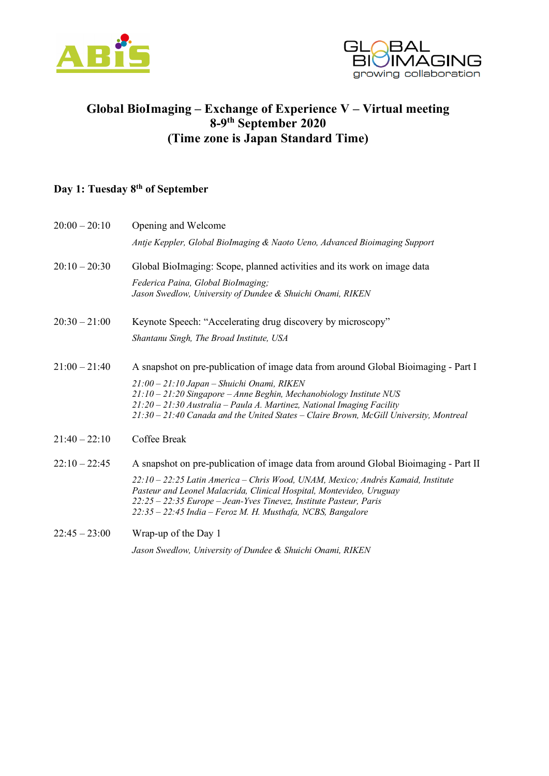



## **Global BioImaging – Exchange of Experience V – Virtual meeting 8-9th September 2020 (Time zone is Japan Standard Time)**

## **Day 1: Tuesday 8th of September**

| $20:00 - 20:10$ | Opening and Welcome                                                                                                                                                                                                                                                                           |
|-----------------|-----------------------------------------------------------------------------------------------------------------------------------------------------------------------------------------------------------------------------------------------------------------------------------------------|
|                 | Antje Keppler, Global BioImaging & Naoto Ueno, Advanced Bioimaging Support                                                                                                                                                                                                                    |
| $20:10 - 20:30$ | Global BioImaging: Scope, planned activities and its work on image data                                                                                                                                                                                                                       |
|                 | Federica Paina, Global BioImaging;<br>Jason Swedlow, University of Dundee & Shuichi Onami, RIKEN                                                                                                                                                                                              |
| $20:30 - 21:00$ | Keynote Speech: "Accelerating drug discovery by microscopy"                                                                                                                                                                                                                                   |
|                 | Shantanu Singh, The Broad Institute, USA                                                                                                                                                                                                                                                      |
| $21:00 - 21:40$ | A snapshot on pre-publication of image data from around Global Bioimaging - Part I                                                                                                                                                                                                            |
|                 | 21:00 - 21:10 Japan - Shuichi Onami, RIKEN<br>$21:10 - 21:20$ Singapore – Anne Beghin, Mechanobiology Institute NUS<br>21:20 - 21:30 Australia - Paula A. Martinez, National Imaging Facility<br>$21:30 - 21:40$ Canada and the United States - Claire Brown, McGill University, Montreal     |
| $21:40 - 22:10$ | Coffee Break                                                                                                                                                                                                                                                                                  |
| $22:10 - 22:45$ | A snapshot on pre-publication of image data from around Global Bioimaging - Part II                                                                                                                                                                                                           |
|                 | 22:10 – 22:25 Latin America – Chris Wood, UNAM, Mexico; Andrés Kamaid, Institute<br>Pasteur and Leonel Malacrida, Clinical Hospital, Montevideo, Uruguay<br>22:25 - 22:35 Europe - Jean-Yves Tinevez, Institute Pasteur, Paris<br>22:35 - 22:45 India - Feroz M. H. Musthafa, NCBS, Bangalore |
| $22:45 - 23:00$ | Wrap-up of the Day 1                                                                                                                                                                                                                                                                          |

*Jason Swedlow, University of Dundee & Shuichi Onami, RIKEN*